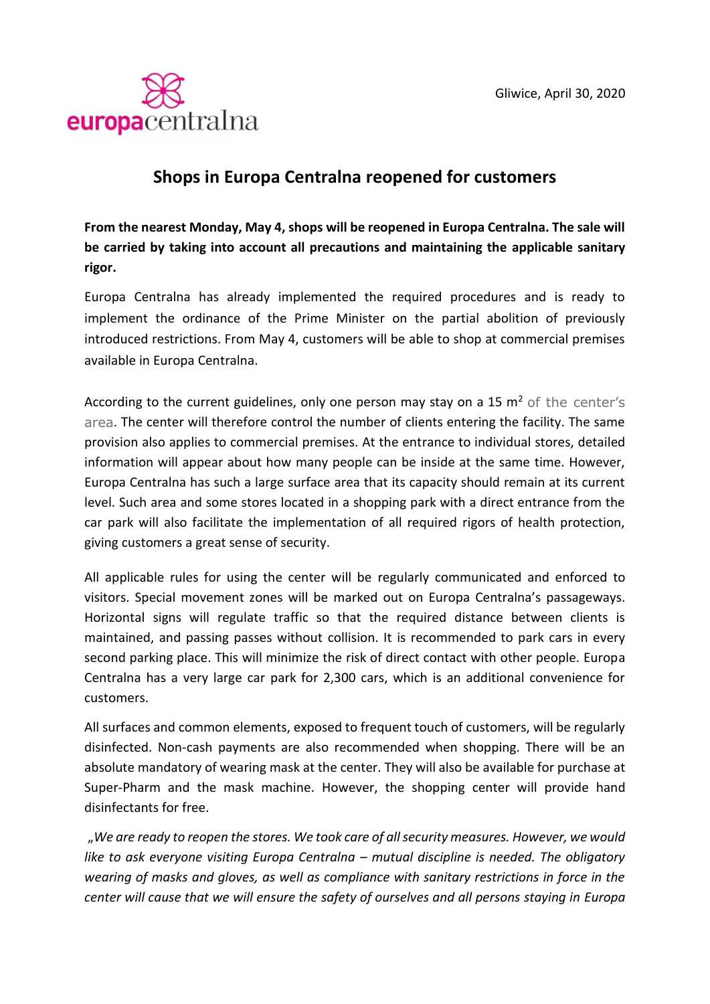

## **Shops in Europa Centralna reopened for customers**

**From the nearest Monday, May 4, shops will be reopened in Europa Centralna. The sale will be carried by taking into account all precautions and maintaining the applicable sanitary rigor.**

Europa Centralna has already implemented the required procedures and is ready to implement the ordinance of the Prime Minister on the partial abolition of previously introduced restrictions. From May 4, customers will be able to shop at commercial premises available in Europa Centralna.

According to the current guidelines, only one person may stay on a 15  $m<sup>2</sup>$  of the center's area. The center will therefore control the number of clients entering the facility. The same provision also applies to commercial premises. At the entrance to individual stores, detailed information will appear about how many people can be inside at the same time. However, Europa Centralna has such a large surface area that its capacity should remain at its current level. Such area and some stores located in a shopping park with a direct entrance from the car park will also facilitate the implementation of all required rigors of health protection, giving customers a great sense of security.

All applicable rules for using the center will be regularly communicated and enforced to visitors. Special movement zones will be marked out on Europa Centralna's passageways. Horizontal signs will regulate traffic so that the required distance between clients is maintained, and passing passes without collision. It is recommended to park cars in every second parking place. This will minimize the risk of direct contact with other people. Europa Centralna has a very large car park for 2,300 cars, which is an additional convenience for customers.

All surfaces and common elements, exposed to frequent touch of customers, will be regularly disinfected. Non-cash payments are also recommended when shopping. There will be an absolute mandatory of wearing mask at the center. They will also be available for purchase at Super-Pharm and the mask machine. However, the shopping center will provide hand disinfectants for free.

"*We are ready to reopen the stores. We took care of all security measures. However, we would*  like to ask everyone visiting Europa Centralna – mutual discipline is needed. The obligatory *wearing of masks and gloves, as well as compliance with sanitary restrictions in force in the center will cause that we will ensure the safety of ourselves and all persons staying in Europa*